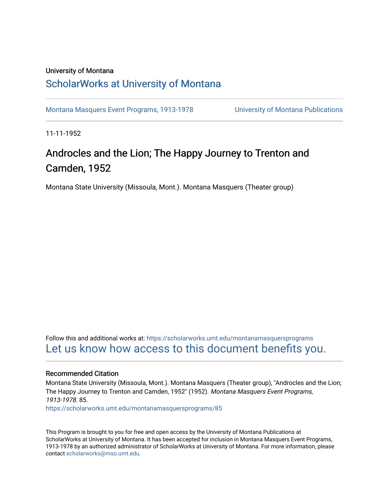### University of Montana

### [ScholarWorks at University of Montana](https://scholarworks.umt.edu/)

[Montana Masquers Event Programs, 1913-1978](https://scholarworks.umt.edu/montanamasquersprograms) [University of Montana Publications](https://scholarworks.umt.edu/umpubs) 

11-11-1952

### Androcles and the Lion; The Happy Journey to Trenton and Camden, 1952

Montana State University (Missoula, Mont.). Montana Masquers (Theater group)

Follow this and additional works at: [https://scholarworks.umt.edu/montanamasquersprograms](https://scholarworks.umt.edu/montanamasquersprograms?utm_source=scholarworks.umt.edu%2Fmontanamasquersprograms%2F85&utm_medium=PDF&utm_campaign=PDFCoverPages) [Let us know how access to this document benefits you.](https://goo.gl/forms/s2rGfXOLzz71qgsB2) 

### Recommended Citation

Montana State University (Missoula, Mont.). Montana Masquers (Theater group), "Androcles and the Lion; The Happy Journey to Trenton and Camden, 1952" (1952). Montana Masquers Event Programs, 1913-1978. 85.

[https://scholarworks.umt.edu/montanamasquersprograms/85](https://scholarworks.umt.edu/montanamasquersprograms/85?utm_source=scholarworks.umt.edu%2Fmontanamasquersprograms%2F85&utm_medium=PDF&utm_campaign=PDFCoverPages) 

This Program is brought to you for free and open access by the University of Montana Publications at ScholarWorks at University of Montana. It has been accepted for inclusion in Montana Masquers Event Programs, 1913-1978 by an authorized administrator of ScholarWorks at University of Montana. For more information, please contact [scholarworks@mso.umt.edu](mailto:scholarworks@mso.umt.edu).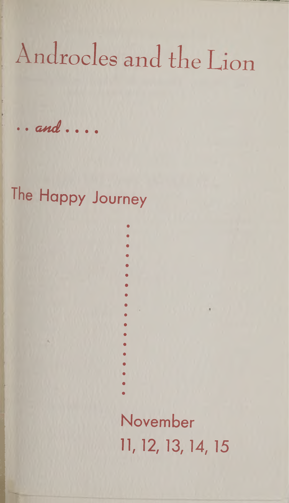# Androcles and the Lion

.. and....

## The Happy Journey

November 11, 12, 13, 14, 15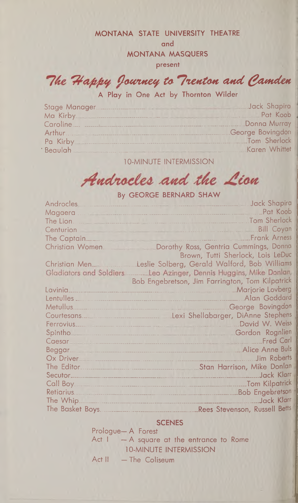#### MONTANA STATE UNIVERSITY THEATRE

and

**MONTANA MASQUERS** 

present

The Happy Journey to Trenton and Camden

A Play in One Act by Thornton Wilder

| Ma Kirby Pat Koob |                  |
|-------------------|------------------|
|                   |                  |
| Arthur            | George Bovingdon |
| Pa Kirby          | Tom Sherlock     |
| <b>Beaulah</b>    | Karen Whittet    |

**10-MINUTE INTERMISSION** 

### Androcles and the Lion

By GEORGE BERNARD SHAW

| <b>Androcles</b>        | Jack Shapira                                                                                                      |
|-------------------------|-------------------------------------------------------------------------------------------------------------------|
| Magaera                 | Pat Koob                                                                                                          |
| The Lion.               | Tom Sherlock                                                                                                      |
| Centurion               | <b>Bill Coyan</b>                                                                                                 |
| The Captain.            | <b>Frank Arness</b>                                                                                               |
| Christian Women.        | Dorothy Ross, Gentria Cummings, Donna                                                                             |
|                         | Brown, Tutti Sherlock, Lois LeDuc                                                                                 |
| Christian Men           | Leslie Solberg, Gerald Walford, Bob Williams                                                                      |
| Gladiators and Soldiers | Leo Azinger, Dennis Huggins, Mike Donlan,                                                                         |
|                         | Bob Engebretson, Jim Farrington, Tom Kilpatrick                                                                   |
| Lavinia                 | <b>Marjorie Lovberg</b>                                                                                           |
| Lentulles <sub>-</sub>  | Alan Goddard                                                                                                      |
| Metullus.               | George Bovingdon                                                                                                  |
| Courtesans.             | Lexi Shellabarger, DiAnne Stephens                                                                                |
| Ferrovius               | David W. Weiss<br>And a series of the company of the company of the company of the company of the company of      |
| Spintho.                | Gordon Rognlien                                                                                                   |
| Caesar                  | <b>Fred Carl</b><br>-------------------------------------                                                         |
| Beggar.                 | <b>Alice Anne Buls</b><br>and the company's company's company's company's company's company's company's company's |
| Ox Driver               | <b>Jim Roberts</b>                                                                                                |
| The Editor.             | Stan Harrison, Mike Donlan                                                                                        |
|                         | Jack Klarr                                                                                                        |
|                         | Tom Kilpatrick                                                                                                    |
|                         | <b>Bob Engebretson</b>                                                                                            |
|                         | Jack Klarr                                                                                                        |
|                         | Rees Stevenson, Russell Betts                                                                                     |

### **SCENES**

Prologue-A Forest Act  $I = A$  square at the entrance to Rome **10-MINUTE INTERMISSION** Act II - The Coliseum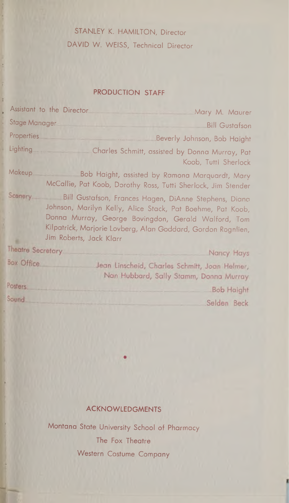### STANLEY K. HAMILTON, Director DAVID W. WEISS, Technical Director

### PRODUCTION STAFF

|                          | Assistant to the Director<br>Mary M. Maurer                                                                                                                                                                                                                           |
|--------------------------|-----------------------------------------------------------------------------------------------------------------------------------------------------------------------------------------------------------------------------------------------------------------------|
| <b>Stage Manager</b>     | <b>Bill Gustafson</b>                                                                                                                                                                                                                                                 |
| <b>Properties</b>        | Beverly Johnson, Bob Haight                                                                                                                                                                                                                                           |
| Lighting                 | Charles Schmitt, assisted by Donna Murray, Pat<br>Koob, Tutti Sherlock                                                                                                                                                                                                |
| Makeup                   | Bob Haight, assisted by Ramona Marquardt, Mary<br>McCallie, Pat Koob, Dorothy Ross, Tutti Sherlock, Jim Stender                                                                                                                                                       |
| Scenery.                 | Bill Gustafson, Frances Hagen, DiAnne Stephens, Diana<br>Johnson, Marilyn Kelly, Alice Stack, Pat Boehme, Pat Koob,<br>Donna Murray, George Bovingdon, Gerald Walford, Tom<br>Kilpatrick, Marjorie Lovberg, Alan Goddard, Gordon Rognlien,<br>Jim Roberts, Jack Klarr |
| <b>Theatre Secretary</b> | Nancy Hays                                                                                                                                                                                                                                                            |
| <b>Box Office</b>        | Jean Linscheid, Charles Schmitt, Joan Helmer,<br>Nan Hubbard, Sally Stamm, Donna Murray                                                                                                                                                                               |
| Posters.                 | <b>Bob Haight</b>                                                                                                                                                                                                                                                     |
| Sound.                   | Selden Beck                                                                                                                                                                                                                                                           |

### ACKNOWLEDGMENTS

Montana State University School of Pharmacy The Fox Theatre Western Costume Company